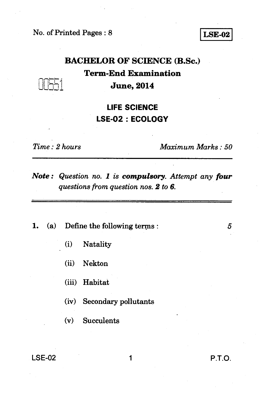No. of Printed Pages : 8 **LSE-02** 

#### **BACHELOR OF SCIENCE (B.Sc.)**

**Term-End Examination June, 2014** 

## **LIFE SCIENCE LSE-02 : ECOLOGY**

. : •

*Time : 2 hours Maximum Marks : 50* 

*Note : Question no. 1 is compulsory. Attempt any four questions from question nos. 2 to 6.* 

**1.** (a) Define the following terms : 5

- (i) Natality
- (ii) Nekton
- (iii) Habitat
- (iv) Secondary pollutants
- (v) Succulents

LSE-02 1 **P.T.O.**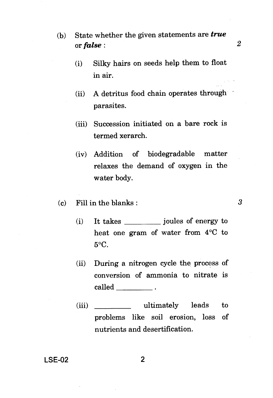- (b) State whether the given statements are *true*  or  $false$  : 2  $2^2$ 
	- (i) Silky hairs on seeds help them to float in air.
	- (ii) A detritus food chain operates through parasites.
	- (iii) Succession initiated on a bare rock is termed xerarch.
	- (iv) Addition of biodegradable matter relaxes the demand of oxygen in the water body.
- (c) Fill in the blanks :  $\frac{3}{2}$ 
	- (i) It takes joules of energy to heat one gram of water from 4°C to 5°C.
	- (ii) During a nitrogen cycle the process of conversion of ammonia to nitrate is called
	- (iii) ultimately leads to problems like soil erosion, loss of nutrients and desertification.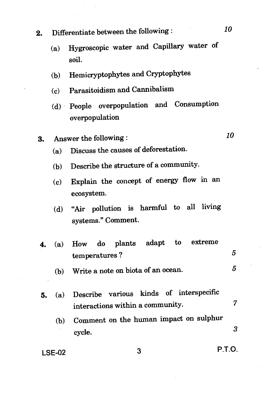- **2.** Differentiate between the following : *<sup>10</sup>*
	- (a) Hygroscopic water and Capillary water of soil.
	- (b) Hemicryptophytes and Cryptophytes
	- (c) Parasitoidism and Cannibalism
	- (d) People overpopulation and Consumption overpopulation
- **3.** Answer the following : *<sup>10</sup>*
	-
	- (a) Discuss the causes of deforestation.
	- (b) Describe the structure of a community.
	- (c) Explain the concept of energy flow in an ecosystem.
	- (d) "Air pollution is harmful to all living systems." Comment.
- **4.** (a) How do plants adapt to extreme 5 temperatures ?
	- (b) Write a note on biota of an ocean.  $5$
- **5.** (a) Describe various kinds of interspecific interactions within a community. 7
	- (b) Comment on the human impact on sulphur cycle.

**LSE-02** 3 **P.T.O.** 

3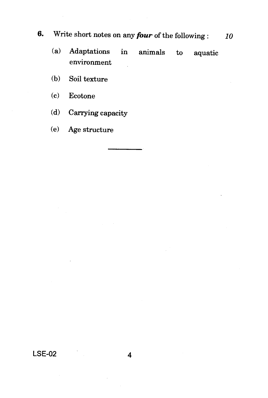# **6.** Write short notes on any *four* of the following : *10*

- (a) Adaptations in animals to aquatic environment
- (b) Soil texture
- (c) Ecotone
- (d) Carrying capacity
- (e) Age structure

**LSE-02 4**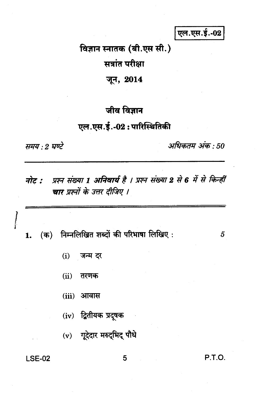एल.एस.ई.-02

विज्ञान स्नातक (बी.एस सी.) सत्रांत परीक्षा

जून, 2014

### जीव विज्ञान

### एल.एस.ई.-02: पारिस्थितिकी

समय : 2 घण्टे

अधिकतम अंक : 50

प्रश्न संख्या 1 अनिवार्य है । प्रश्न संख्या 2 से 6 में से किन्हीं नोट : चार प्रश्नों के उत्तर दीजिए ।

निम्नलिखित शब्दों की परिभाषा लिखिए:  $($ क) 1.

- $(i)$ जन्म दर
- $(ii)$ तरणक
- $(iii)$ आवास
- $(iv)$  द्वितीयक प्रदूषक
- (v) गूदेदार मरुद्भिद् पौधे

**LSE-02** 

5

P.T.O.

 $\overline{5}$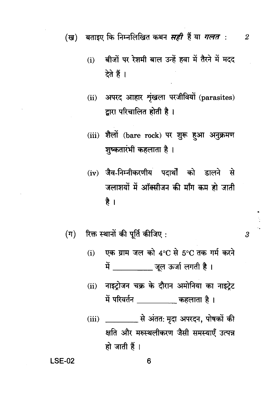बीजों पर रेशमी बाल उन्हें हवा में तैरने में मदद  $(i)$ देते हैं ।

 $\overline{2}$ 

3

- अपरद आहार शृंखला परजीवियों (parasites)  $(ii)$ द्वारा परिचालित होती है।
- (iii) शैलों (bare rock) पर शुरू हुआ अनुक्रमण शुष्कतारंभी कहलाता है।
- (iv) जैव-निम्नीकरणीय पदार्थों को डालने से जलाशयों में ऑक्सीजन की माँग कम हो जाती है ।
- रिक्त स्थानों की पूर्ति कीजिए:  $(\pi)$ 
	- एक ग्राम जल को 4°C से 5°C तक गर्म करने  $(i)$ में खुल ऊर्जा लगती है।
	- नाइट्रोजन चक्र के दौरान अमोनिया का नाइट्रेट  $(ii)$ में परिवर्तन \_\_\_\_\_\_\_\_\_\_ कहलाता है।
	- क्षति और मरुस्थलीकरण जैसी समस्याएँ उत्पन्न हो जाती हैं।

**LSE-02**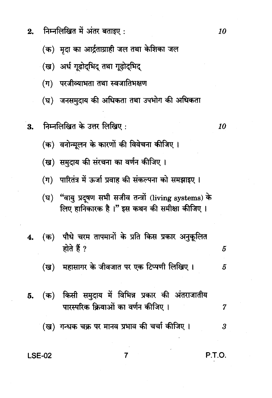- निम्नलिखित में अंतर बताइए:  $2.$ 
	- (क) मदा का आर्द्रताग्राही जल तथा केशिका जल
	- (ख) अर्ध गुढोदभिद् तथा गुढोदभिद
	- (ग) परजीव्याभता तथा स्वजातिभक्षण
	- (घ) जनसमदाय की अधिकता तथा उपभोग की अधिकता
- निम्नलिखित के उत्तर लिखिए: 3.
	- (क) वनोन्मूलन के कारणों की विवेचना कीजिए।
	- (ख) समुदाय की संरचना का वर्णन कीजिए ।
	- (ग) पारितंत्र में ऊर्जा प्रवाह की संकल्पना को समझाइए।
	- "वायु प्रदुषण सभी सजीव तन्त्रों (living systems) के  $(\mathbf{p})$ लिए हानिकारक है।" इस कथन की समीक्षा कीजिए।
- (क) पौधे चरम तापमानों के प्रति किस प्रकार अनुकूलित  $4.$ होते हैं ?
	- (ख) महासागर के जीवजात पर एक टिप्पणी लिखिए। 5
- (क) किसी समुदाय में विभिन्न प्रकार की अंतराजातीय 5. पारस्परिक क्रियाओं का वर्णन कीजिए।
	- (ख) गन्धक चक्र पर मानव प्रभाव की चर्चा कीजिए । 3

 $\overline{7}$ 

#### **LSE-02**

**P.T.O.** 

10

5

 $\overline{7}$